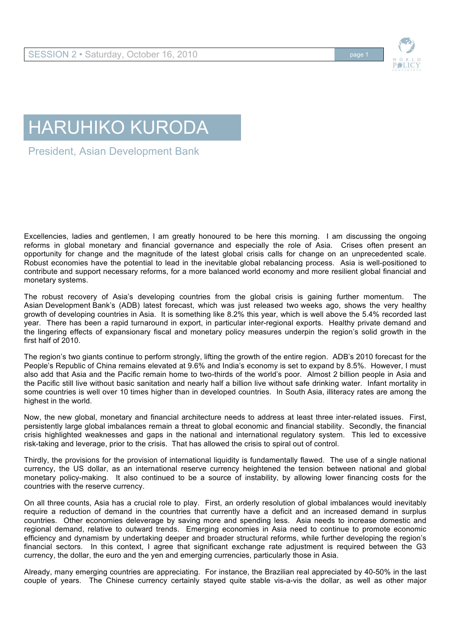

## HARUHIKO KURODA

President, Asian Development Bank

Excellencies, ladies and gentlemen, I am greatly honoured to be here this morning. I am discussing the ongoing reforms in global monetary and financial governance and especially the role of Asia. Crises often present an opportunity for change and the magnitude of the latest global crisis calls for change on an unprecedented scale. Robust economies have the potential to lead in the inevitable global rebalancing process. Asia is well-positioned to contribute and support necessary reforms, for a more balanced world economy and more resilient global financial and monetary systems.

The robust recovery of Asia's developing countries from the global crisis is gaining further momentum. The Asian Development Bank's (ADB) latest forecast, which was just released two weeks ago, shows the very healthy growth of developing countries in Asia. It is something like 8.2% this year, which is well above the 5.4% recorded last year. There has been a rapid turnaround in export, in particular inter-regional exports. Healthy private demand and the lingering effects of expansionary fiscal and monetary policy measures underpin the region's solid growth in the first half of 2010.

The region's two giants continue to perform strongly, lifting the growth of the entire region. ADB's 2010 forecast for the People's Republic of China remains elevated at 9.6% and India's economy is set to expand by 8.5%. However, I must also add that Asia and the Pacific remain home to two-thirds of the world's poor. Almost 2 billion people in Asia and the Pacific still live without basic sanitation and nearly half a billion live without safe drinking water. Infant mortality in some countries is well over 10 times higher than in developed countries. In South Asia, illiteracy rates are among the highest in the world.

Now, the new global, monetary and financial architecture needs to address at least three inter-related issues. First, persistently large global imbalances remain a threat to global economic and financial stability. Secondly, the financial crisis highlighted weaknesses and gaps in the national and international regulatory system. This led to excessive risk-taking and leverage, prior to the crisis. That has allowed the crisis to spiral out of control.

Thirdly, the provisions for the provision of international liquidity is fundamentally flawed. The use of a single national currency, the US dollar, as an international reserve currency heightened the tension between national and global monetary policy-making. It also continued to be a source of instability, by allowing lower financing costs for the countries with the reserve currency.

On all three counts, Asia has a crucial role to play. First, an orderly resolution of global imbalances would inevitably require a reduction of demand in the countries that currently have a deficit and an increased demand in surplus countries. Other economies deleverage by saving more and spending less. Asia needs to increase domestic and regional demand, relative to outward trends. Emerging economies in Asia need to continue to promote economic efficiency and dynamism by undertaking deeper and broader structural reforms, while further developing the region's financial sectors. In this context, I agree that significant exchange rate adjustment is required between the G3 currency, the dollar, the euro and the yen and emerging currencies, particularly those in Asia.

Already, many emerging countries are appreciating. For instance, the Brazilian real appreciated by 40-50% in the last couple of years. The Chinese currency certainly stayed quite stable vis-a-vis the dollar, as well as other major